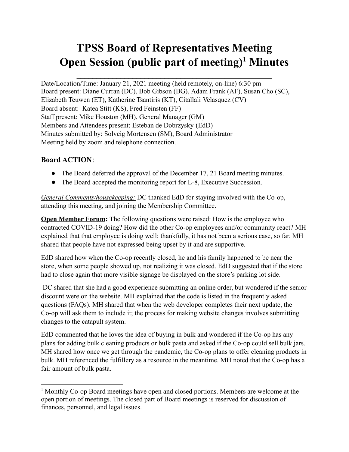# **TPSS Board of Representatives Meeting Open Session (public part of meeting) <sup>1</sup> Minutes**

Date/Location/Time: January 21, 2021 meeting (held remotely, on-line) 6:30 pm Board present: Diane Curran (DC), Bob Gibson (BG), Adam Frank (AF), Susan Cho (SC), Elizabeth Teuwen (ET), Katherine Tsantiris (KT), Citallali Velasquez (CV) Board absent: Katea Stitt (KS), Fred Feinsten (FF) Staff present: Mike Houston (MH), General Manager (GM) Members and Attendees present: Esteban de Dobrzysky (EdD) Minutes submitted by: Solveig Mortensen (SM), Board Administrator Meeting held by zoom and telephone connection.

## **Board ACTION**:

- The Board deferred the approval of the December 17, 21 Board meeting minutes.
- The Board accepted the monitoring report for L-8, Executive Succession.

*General Comments/housekeeping:* DC thanked EdD for staying involved with the Co-op, attending this meeting, and joining the Membership Committee.

**Open Member Forum:** The following questions were raised: How is the employee who contracted COVID-19 doing? How did the other Co-op employees and/or community react? MH explained that that employee is doing well; thankfully, it has not been a serious case, so far. MH shared that people have not expressed being upset by it and are supportive.

EdD shared how when the Co-op recently closed, he and his family happened to be near the store, when some people showed up, not realizing it was closed. EdD suggested that if the store had to close again that more visible signage be displayed on the store's parking lot side.

DC shared that she had a good experience submitting an online order, but wondered if the senior discount were on the website. MH explained that the code is listed in the frequently asked questions (FAQs). MH shared that when the web developer completes their next update, the Co-op will ask them to include it; the process for making website changes involves submitting changes to the catapult system.

EdD commented that he loves the idea of buying in bulk and wondered if the Co-op has any plans for adding bulk cleaning products or bulk pasta and asked if the Co-op could sell bulk jars. MH shared how once we get through the pandemic, the Co-op plans to offer cleaning products in bulk. MH referenced the fulfillery as a resource in the meantime. MH noted that the Co-op has a fair amount of bulk pasta.

<sup>1</sup> Monthly Co-op Board meetings have open and closed portions. Members are welcome at the open portion of meetings. The closed part of Board meetings is reserved for discussion of finances, personnel, and legal issues.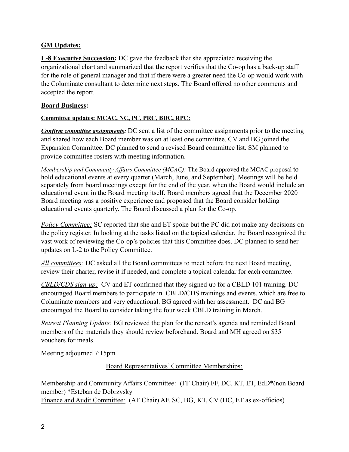### **GM Updates:**

**L-8 Executive Succession:** DC gave the feedback that she appreciated receiving the organizational chart and summarized that the report verifies that the Co-op has a back-up staff for the role of general manager and that if there were a greater need the Co-op would work with the Columinate consultant to determine next steps. The Board offered no other comments and accepted the report.

#### **Board Business:**

#### **Committee updates: MCAC, NC, PC, PRC, BDC, RPC:**

*Confirm committee assignments:* DC sent a list of the committee assignments prior to the meeting and shared how each Board member was on at least one committee. CV and BG joined the Expansion Committee. DC planned to send a revised Board committee list. SM planned to provide committee rosters with meeting information.

*Membership and Community Af airs Committee (MCAC):* The Board approved the MCAC proposal to hold educational events at every quarter (March, June, and September). Meetings will be held separately from board meetings except for the end of the year, when the Board would include an educational event in the Board meeting itself. Board members agreed that the December 2020 Board meeting was a positive experience and proposed that the Board consider holding educational events quarterly. The Board discussed a plan for the Co-op.

*Policy Committee:* SC reported that she and ET spoke but the PC did not make any decisions on the policy register. In looking at the tasks listed on the topical calendar, the Board recognized the vast work of reviewing the Co-op's policies that this Committee does. DC planned to send her updates on L-2 to the Policy Committee.

*All committees:* DC asked all the Board committees to meet before the next Board meeting, review their charter, revise it if needed, and complete a topical calendar for each committee.

*CBLD/CDS sign-up:* CV and ET confirmed that they signed up for a CBLD 101 training. DC encouraged Board members to participate in CBLD/CDS trainings and events, which are free to Columinate members and very educational. BG agreed with her assessment. DC and BG encouraged the Board to consider taking the four week CBLD training in March.

*Retreat Planning Update:* BG reviewed the plan for the retreat's agenda and reminded Board members of the materials they should review beforehand. Board and MH agreed on \$35 vouchers for meals.

Meeting adjourned 7:15pm

Board Representatives' Committee Memberships:

Membership and Community Affairs Committee: (FF Chair) FF, DC, KT, ET, EdD\*(non Board member) \*Esteban de Dobrzysky Finance and Audit Committee: (AF Chair) AF, SC, BG, KT, CV (DC, ET as ex-officios)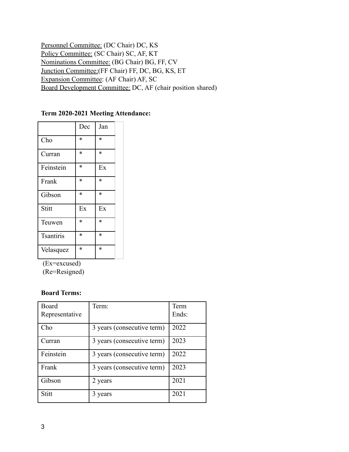Personnel Committee: (DC Chair) DC, KS Policy Committee: (SC Chair) SC, AF, KT Nominations Committee: (BG Chair) BG, FF, CV Junction Committee:(FF Chair) FF, DC, BG, KS, ET Expansion Committee: (AF Chair) AF, SC Board Development Committee: DC, AF (chair position shared)

#### **Term 2020-2021 Meeting Attendance:**

|                  | Dec    | Jan    |
|------------------|--------|--------|
| Cho              | *      | *      |
| Curran           | $\ast$ | $\ast$ |
| Feinstein        | *      | Ex     |
| Frank            | *      | *      |
| Gibson           | $\ast$ | $\ast$ |
| Stitt            | Ex     | Ex     |
| Teuwen           | $\ast$ | $\ast$ |
| <b>Tsantiris</b> | $\ast$ | $\ast$ |
| Velasquez        | $\ast$ | $\ast$ |

(Ex=excused)

(Re=Resigned)

#### **Board Terms:**

| Board<br>Representative | Term:                      | Term<br>Ends: |
|-------------------------|----------------------------|---------------|
| Cho                     | 3 years (consecutive term) | 2022          |
| Curran                  | 3 years (consecutive term) | 2023          |
| Feinstein               | 3 years (consecutive term) | 2022          |
| Frank                   | 3 years (consecutive term) | 2023          |
| Gibson                  | 2 years                    | 2021          |
| Stitt                   | 3 years                    | 2021          |